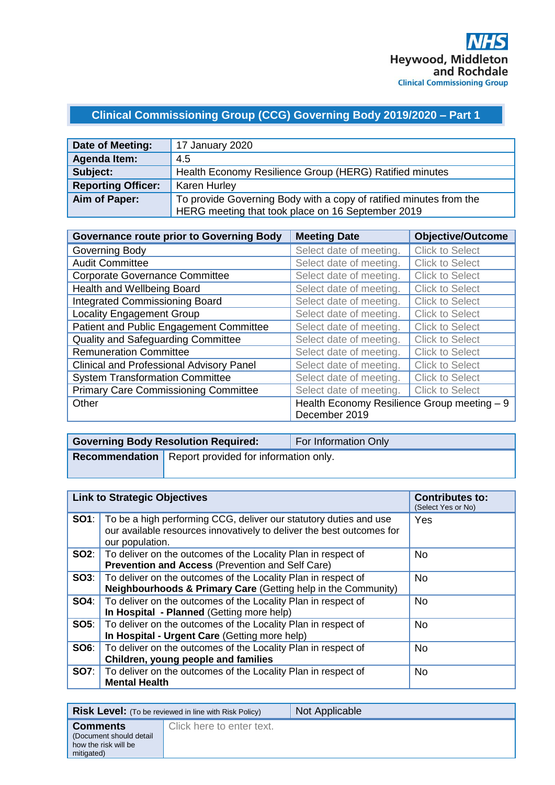# **Clinical Commissioning Group (CCG) Governing Body 2019/2020 – Part 1**

| Date of Meeting:          | 17 January 2020                                                    |
|---------------------------|--------------------------------------------------------------------|
| Agenda Item:              | 4.5                                                                |
| Subject:                  | Health Economy Resilience Group (HERG) Ratified minutes            |
| <b>Reporting Officer:</b> | <b>Karen Hurley</b>                                                |
| Aim of Paper:             | To provide Governing Body with a copy of ratified minutes from the |
|                           | HERG meeting that took place on 16 September 2019                  |

| <b>Governance route prior to Governing Body</b> | <b>Meeting Date</b>                         | <b>Objective/Outcome</b> |
|-------------------------------------------------|---------------------------------------------|--------------------------|
| Governing Body                                  | Select date of meeting.                     | <b>Click to Select</b>   |
| <b>Audit Committee</b>                          | Select date of meeting.                     | <b>Click to Select</b>   |
| <b>Corporate Governance Committee</b>           | Select date of meeting.                     | <b>Click to Select</b>   |
| Health and Wellbeing Board                      | Select date of meeting.                     | <b>Click to Select</b>   |
| <b>Integrated Commissioning Board</b>           | Select date of meeting.                     | <b>Click to Select</b>   |
| <b>Locality Engagement Group</b>                | Select date of meeting.                     | <b>Click to Select</b>   |
| Patient and Public Engagement Committee         | Select date of meeting.                     | <b>Click to Select</b>   |
| Quality and Safeguarding Committee              | Select date of meeting.                     | <b>Click to Select</b>   |
| <b>Remuneration Committee</b>                   | Select date of meeting.                     | <b>Click to Select</b>   |
| <b>Clinical and Professional Advisory Panel</b> | Select date of meeting.                     | <b>Click to Select</b>   |
| <b>System Transformation Committee</b>          | Select date of meeting.                     | <b>Click to Select</b>   |
| <b>Primary Care Commissioning Committee</b>     | Select date of meeting.                     | <b>Click to Select</b>   |
| Other                                           | Health Economy Resilience Group meeting - 9 |                          |
|                                                 | December 2019                               |                          |

| <b>Governing Body Resolution Required:</b>                    | For Information Only |
|---------------------------------------------------------------|----------------------|
| <b>Recommendation</b>   Report provided for information only. |                      |

|             | <b>Link to Strategic Objectives</b>                                                                                                                           | <b>Contributes to:</b><br>(Select Yes or No) |
|-------------|---------------------------------------------------------------------------------------------------------------------------------------------------------------|----------------------------------------------|
| SO1:        | To be a high performing CCG, deliver our statutory duties and use<br>our available resources innovatively to deliver the best outcomes for<br>our population. | Yes                                          |
|             | <b>SO2:</b>   To deliver on the outcomes of the Locality Plan in respect of<br>Prevention and Access (Prevention and Self Care)                               | No.                                          |
|             | <b>SO3:</b>   To deliver on the outcomes of the Locality Plan in respect of<br>Neighbourhoods & Primary Care (Getting help in the Community)                  | <b>No</b>                                    |
| SO4:        | To deliver on the outcomes of the Locality Plan in respect of<br>In Hospital - Planned (Getting more help)                                                    | No.                                          |
|             | SO5:   To deliver on the outcomes of the Locality Plan in respect of<br>In Hospital - Urgent Care (Getting more help)                                         | <b>No</b>                                    |
| SOS:        | To deliver on the outcomes of the Locality Plan in respect of<br>Children, young people and families                                                          | <b>No</b>                                    |
| <b>SO7:</b> | To deliver on the outcomes of the Locality Plan in respect of<br><b>Mental Health</b>                                                                         | No.                                          |

|                                                                                  | <b>Risk Level:</b> (To be reviewed in line with Risk Policy) | Not Applicable |
|----------------------------------------------------------------------------------|--------------------------------------------------------------|----------------|
| <b>Comments</b><br>(Document should detail<br>how the risk will be<br>mitigated) | Click here to enter text.                                    |                |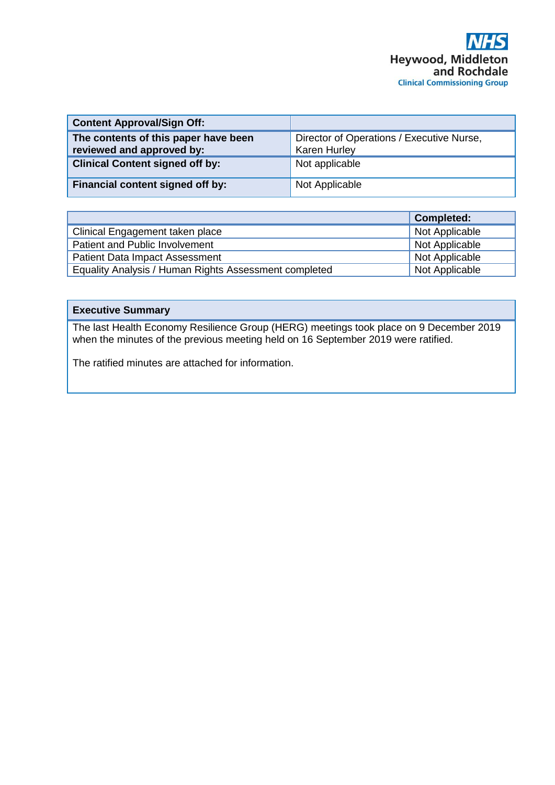| <b>Content Approval/Sign Off:</b>                                 |                                                                  |
|-------------------------------------------------------------------|------------------------------------------------------------------|
| The contents of this paper have been<br>reviewed and approved by: | Director of Operations / Executive Nurse,<br><b>Karen Hurley</b> |
| <b>Clinical Content signed off by:</b>                            | Not applicable                                                   |
| Financial content signed off by:                                  | Not Applicable                                                   |

|                                                       | <b>Completed:</b> |
|-------------------------------------------------------|-------------------|
| Clinical Engagement taken place                       | Not Applicable    |
| Patient and Public Involvement                        | Not Applicable    |
| <b>Patient Data Impact Assessment</b>                 | Not Applicable    |
| Equality Analysis / Human Rights Assessment completed | Not Applicable    |

#### **Executive Summary**

The last Health Economy Resilience Group (HERG) meetings took place on 9 December 2019 when the minutes of the previous meeting held on 16 September 2019 were ratified.

The ratified minutes are attached for information.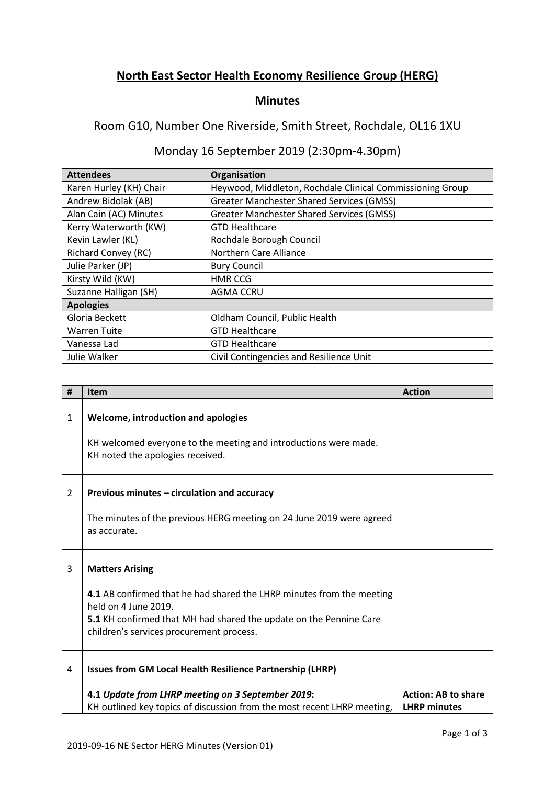### **North East Sector Health Economy Resilience Group (HERG)**

#### **Minutes**

#### Room G10, Number One Riverside, Smith Street, Rochdale, OL16 1XU

## Monday 16 September 2019 (2:30pm-4.30pm)

| <b>Attendees</b>           | Organisation                                              |
|----------------------------|-----------------------------------------------------------|
| Karen Hurley (KH) Chair    | Heywood, Middleton, Rochdale Clinical Commissioning Group |
| Andrew Bidolak (AB)        | <b>Greater Manchester Shared Services (GMSS)</b>          |
| Alan Cain (AC) Minutes     | <b>Greater Manchester Shared Services (GMSS)</b>          |
| Kerry Waterworth (KW)      | <b>GTD Healthcare</b>                                     |
| Kevin Lawler (KL)          | Rochdale Borough Council                                  |
| <b>Richard Convey (RC)</b> | Northern Care Alliance                                    |
| Julie Parker (JP)          | <b>Bury Council</b>                                       |
| Kirsty Wild (KW)           | <b>HMR CCG</b>                                            |
| Suzanne Halligan (SH)      | <b>AGMA CCRU</b>                                          |
| <b>Apologies</b>           |                                                           |
| Gloria Beckett             | Oldham Council, Public Health                             |
| <b>Warren Tuite</b>        | <b>GTD Healthcare</b>                                     |
| Vanessa Lad                | <b>GTD Healthcare</b>                                     |
| Julie Walker               | Civil Contingencies and Resilience Unit                   |

| #              | Item                                                                                                           | <b>Action</b>              |
|----------------|----------------------------------------------------------------------------------------------------------------|----------------------------|
| 1              | Welcome, introduction and apologies                                                                            |                            |
|                | KH welcomed everyone to the meeting and introductions were made.<br>KH noted the apologies received.           |                            |
| $\overline{2}$ | Previous minutes – circulation and accuracy                                                                    |                            |
|                | The minutes of the previous HERG meeting on 24 June 2019 were agreed<br>as accurate.                           |                            |
| 3              | <b>Matters Arising</b>                                                                                         |                            |
|                | 4.1 AB confirmed that he had shared the LHRP minutes from the meeting<br>held on 4 June 2019.                  |                            |
|                | 5.1 KH confirmed that MH had shared the update on the Pennine Care<br>children's services procurement process. |                            |
| 4              | <b>Issues from GM Local Health Resilience Partnership (LHRP)</b>                                               |                            |
|                | 4.1 Update from LHRP meeting on 3 September 2019:                                                              | <b>Action: AB to share</b> |
|                | KH outlined key topics of discussion from the most recent LHRP meeting,                                        | <b>LHRP</b> minutes        |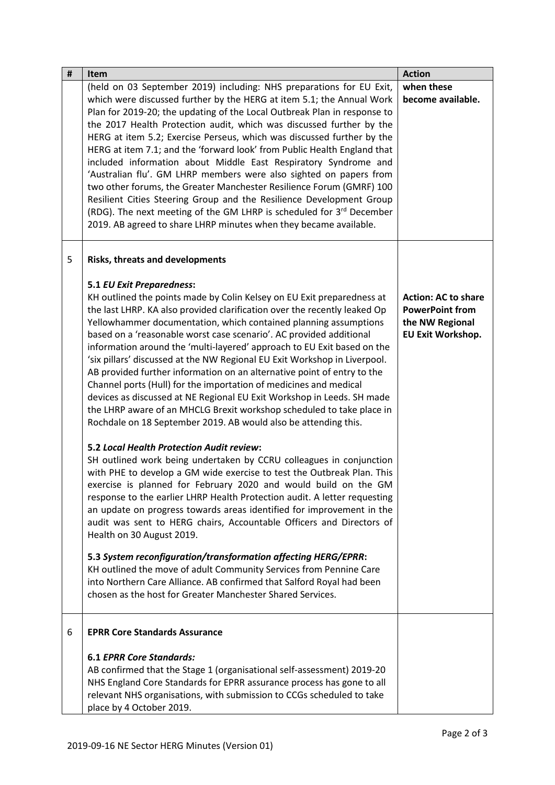| $\pmb{\sharp}$ | Item                                                                                                                                           | <b>Action</b>              |
|----------------|------------------------------------------------------------------------------------------------------------------------------------------------|----------------------------|
|                | (held on 03 September 2019) including: NHS preparations for EU Exit,                                                                           | when these                 |
|                | which were discussed further by the HERG at item 5.1; the Annual Work                                                                          | become available.          |
|                | Plan for 2019-20; the updating of the Local Outbreak Plan in response to                                                                       |                            |
|                | the 2017 Health Protection audit, which was discussed further by the                                                                           |                            |
|                | HERG at item 5.2; Exercise Perseus, which was discussed further by the                                                                         |                            |
|                | HERG at item 7.1; and the 'forward look' from Public Health England that                                                                       |                            |
|                | included information about Middle East Respiratory Syndrome and                                                                                |                            |
|                | 'Australian flu'. GM LHRP members were also sighted on papers from                                                                             |                            |
|                | two other forums, the Greater Manchester Resilience Forum (GMRF) 100<br>Resilient Cities Steering Group and the Resilience Development Group   |                            |
|                | (RDG). The next meeting of the GM LHRP is scheduled for 3rd December                                                                           |                            |
|                | 2019. AB agreed to share LHRP minutes when they became available.                                                                              |                            |
|                |                                                                                                                                                |                            |
| 5              | Risks, threats and developments                                                                                                                |                            |
|                |                                                                                                                                                |                            |
|                | <b>5.1 EU Exit Preparedness:</b>                                                                                                               |                            |
|                | KH outlined the points made by Colin Kelsey on EU Exit preparedness at                                                                         | <b>Action: AC to share</b> |
|                | the last LHRP. KA also provided clarification over the recently leaked Op                                                                      | <b>PowerPoint from</b>     |
|                | Yellowhammer documentation, which contained planning assumptions                                                                               | the NW Regional            |
|                | based on a 'reasonable worst case scenario'. AC provided additional<br>information around the 'multi-layered' approach to EU Exit based on the | <b>EU Exit Workshop.</b>   |
|                | 'six pillars' discussed at the NW Regional EU Exit Workshop in Liverpool.                                                                      |                            |
|                | AB provided further information on an alternative point of entry to the                                                                        |                            |
|                | Channel ports (Hull) for the importation of medicines and medical                                                                              |                            |
|                | devices as discussed at NE Regional EU Exit Workshop in Leeds. SH made                                                                         |                            |
|                | the LHRP aware of an MHCLG Brexit workshop scheduled to take place in                                                                          |                            |
|                | Rochdale on 18 September 2019. AB would also be attending this.                                                                                |                            |
|                | <b>5.2 Local Health Protection Audit review:</b>                                                                                               |                            |
|                | SH outlined work being undertaken by CCRU colleagues in conjunction                                                                            |                            |
|                | with PHE to develop a GM wide exercise to test the Outbreak Plan. This                                                                         |                            |
|                | exercise is planned for February 2020 and would build on the GM                                                                                |                            |
|                | response to the earlier LHRP Health Protection audit. A letter requesting                                                                      |                            |
|                | an update on progress towards areas identified for improvement in the                                                                          |                            |
|                | audit was sent to HERG chairs, Accountable Officers and Directors of                                                                           |                            |
|                | Health on 30 August 2019.                                                                                                                      |                            |
|                | 5.3 System reconfiguration/transformation affecting HERG/EPRR:                                                                                 |                            |
|                | KH outlined the move of adult Community Services from Pennine Care                                                                             |                            |
|                | into Northern Care Alliance. AB confirmed that Salford Royal had been                                                                          |                            |
|                | chosen as the host for Greater Manchester Shared Services.                                                                                     |                            |
|                |                                                                                                                                                |                            |
| 6              | <b>EPRR Core Standards Assurance</b>                                                                                                           |                            |
|                | <b>6.1 EPRR Core Standards:</b>                                                                                                                |                            |
|                | AB confirmed that the Stage 1 (organisational self-assessment) 2019-20                                                                         |                            |
|                | NHS England Core Standards for EPRR assurance process has gone to all                                                                          |                            |
|                | relevant NHS organisations, with submission to CCGs scheduled to take                                                                          |                            |
|                | place by 4 October 2019.                                                                                                                       |                            |